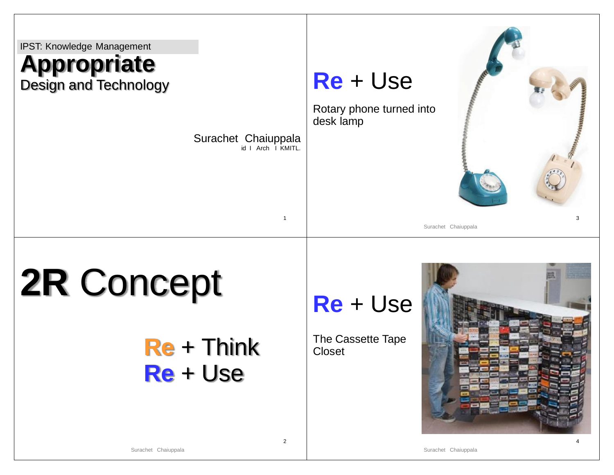

2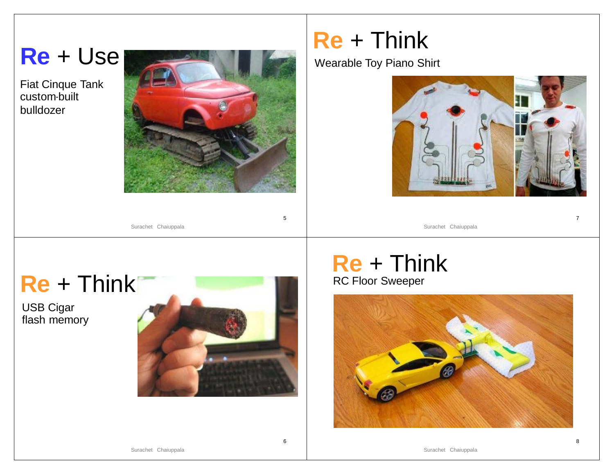**Re** + Use

Fiat Cinque Tank custom-built bulldozer



5

6

### **Re** + Think

Wearable Toy Piano Shirt



Surachet Chaiuppala



USB Cigar flash memory



#### RC Floor Sweeper **Re** + Think



Surachet Chaiuppala

Surachet Chaiuppala

8

7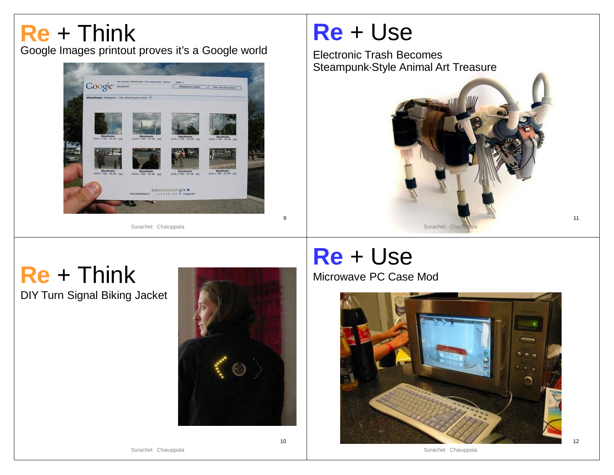#### Google Images printout proves it's a Google world **Re** + Think



### **Re** + Use

Electronic Trash Becomes Steampunk-Style Animal Art Treasure



## **Re** + Think

DIY Turn Signal Biking Jacket



9

10

# **Re** + Use

Microwave PC Case Mod



Surachet Chaiuppala

Surachet Chaiuppala

11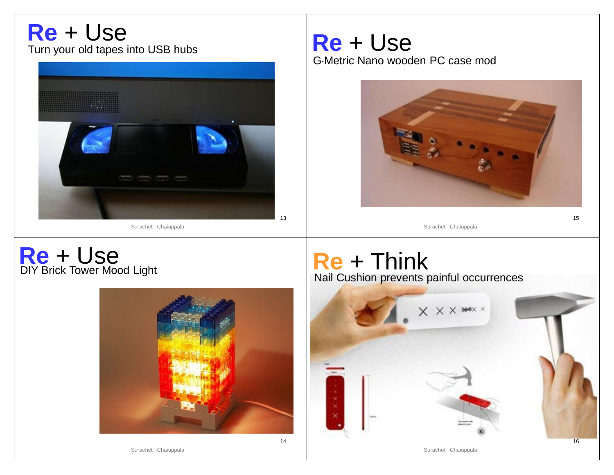#### Turn your old tapes into USB hubs **Re** + Use



#### G-Metric Nano wooden PC case mod **Re** + Use



15

Surachet Chaiuppala

#### DIY Brick Tower Mood Light **Re** + Use



#### **Re** + Think Nail Cushion prevents painful occurrences



Surachet Chaiuppala

Surachet Chaiuppala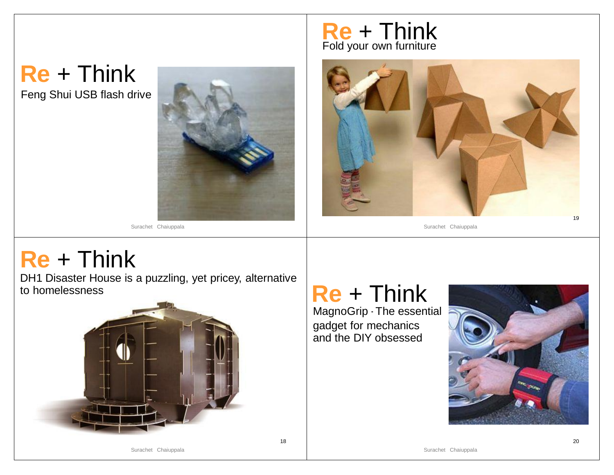### Feng Shui USB flash drive **Re** + Think



18

#### Fold your own furniture **Re** + Think



Surachet Chaiuppala

### **Re** + Think

DH1 Disaster House is a puzzling, yet pricey, alternative to homelessness



### **Re** + Think

MagnoGrip - The essential gadget for mechanics and the DIY obsessed

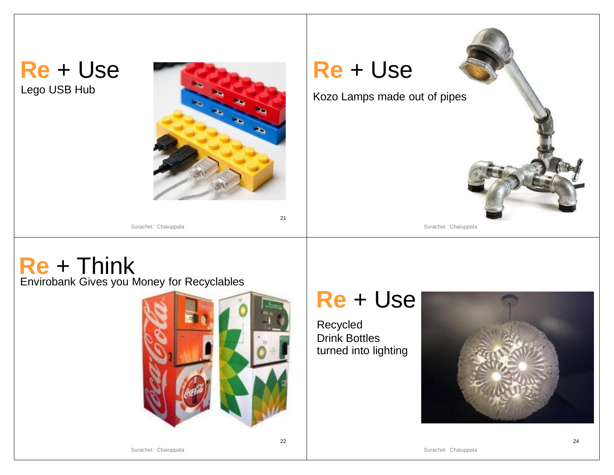



Surachet Chaiuppala

**Re** + Use

Kozo Lamps made out of pipes

Surachet Chaiuppala

## **Re** + Think

Envirobank Gives you Money for Recyclables



22

### **Re** + Use

Recycled Drink Bottles turned into lighting

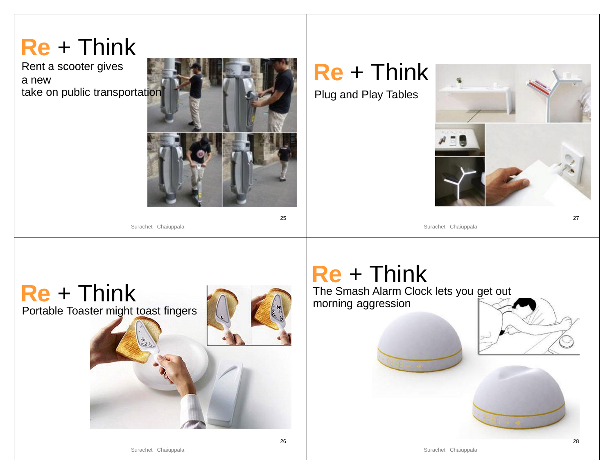### 25 Rent a scooter gives a new take on public transportation **Re** + Think Surachet Chaiuppala 27 Plug and Play Tables **Re** + Think Surachet Chaiuppala



### **Re** + Think

The Smash Alarm Clock lets you get out morning aggression

Surachet Chaiuppala